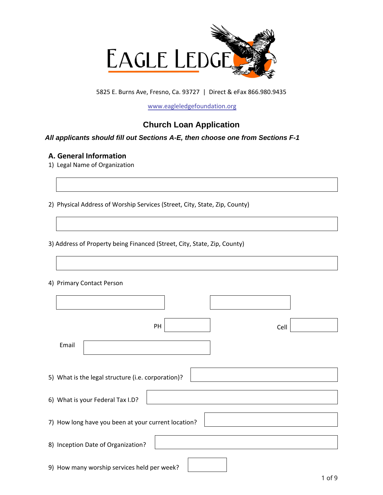

5825 E. Burns Ave, Fresno, Ca. 93727 | Direct & eFax 866.980.9435

[www.eagleledgefoundation.org](http://www.eagleledgefoundation.org)

# **Church Loan Application**

### *All applicants should fill out Sections A-E, then choose one from Sections F-1*

## **A. General Information**

- 1) Legal Name of Organization
- 2) Physical Address of Worship Services (Street, City, State, Zip, County)

3) Address of Property being Financed (Street, City, State, Zip, County)

#### 4) Primary Contact Person

| PH<br>Cell                                          |  |
|-----------------------------------------------------|--|
| Email                                               |  |
| 5) What is the legal structure (i.e. corporation)?  |  |
| 6) What is your Federal Tax I.D?                    |  |
| 7) How long have you been at your current location? |  |
| 8) Inception Date of Organization?                  |  |
| 9) How many worship services held per week?         |  |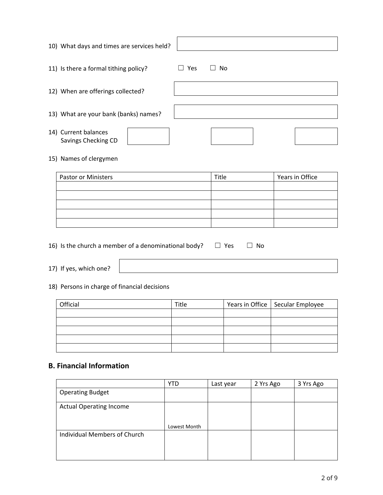| 10) What days and times are services held?  |                    |
|---------------------------------------------|--------------------|
| 11) Is there a formal tithing policy?       | - No<br><b>Yes</b> |
| 12) When are offerings collected?           |                    |
| 13) What are your bank (banks) names?       |                    |
| 14) Current balances<br>Savings Checking CD |                    |

### 15) Names of clergymen

| <b>Pastor or Ministers</b> | Title | Years in Office |  |
|----------------------------|-------|-----------------|--|
|                            |       |                 |  |
|                            |       |                 |  |
|                            |       |                 |  |
|                            |       |                 |  |
|                            |       |                 |  |

16) Is the church a member of a denominational body?  $\Box$  Yes  $\Box$  No

17) If yes, which one?

## 18) Persons in charge of financial decisions

| Official | Title | Years in Office   Secular Employee |
|----------|-------|------------------------------------|
|          |       |                                    |
|          |       |                                    |
|          |       |                                    |
|          |       |                                    |
|          |       |                                    |

## **B. Financial Information**

|                                | <b>YTD</b>   | Last year | 2 Yrs Ago | 3 Yrs Ago |
|--------------------------------|--------------|-----------|-----------|-----------|
| <b>Operating Budget</b>        |              |           |           |           |
| <b>Actual Operating Income</b> |              |           |           |           |
|                                | Lowest Month |           |           |           |
| Individual Members of Church   |              |           |           |           |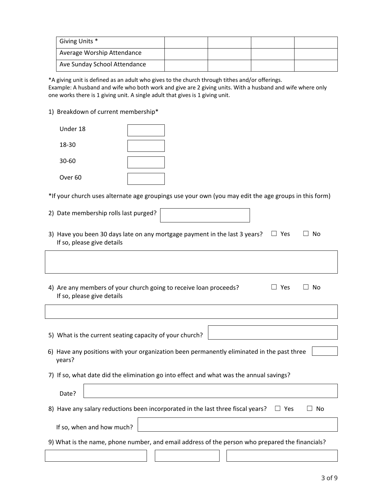| Giving Units *               |  |  |
|------------------------------|--|--|
| Average Worship Attendance   |  |  |
| Ave Sunday School Attendance |  |  |

\*A giving unit is defined as an adult who gives to the church through tithes and/or offerings. Example: A husband and wife who both work and give are 2 giving units. With a husband and wife where only one works there is 1 giving unit. A single adult that gives is 1 giving unit.

1) Breakdown of current membership\*

| Under 18           |  |
|--------------------|--|
| 18-30              |  |
| $30 - 60$          |  |
| Over <sub>60</sub> |  |

\*If your church uses alternate age groupings use your own (you may edit the age groups in this form)

| 2) Date membership rolls last purged?                                                                                                    |
|------------------------------------------------------------------------------------------------------------------------------------------|
| 3) Have you been 30 days late on any mortgage payment in the last 3 years?<br>$\Box$ Yes<br>No<br>If so, please give details             |
|                                                                                                                                          |
| 4) Are any members of your church going to receive loan proceeds?<br>Yes<br>No<br>$\overline{\phantom{0}}$<br>If so, please give details |
|                                                                                                                                          |
|                                                                                                                                          |
| 5) What is the current seating capacity of your church?                                                                                  |
| 6) Have any positions with your organization been permanently eliminated in the past three                                               |
| years?                                                                                                                                   |
| 7) If so, what date did the elimination go into effect and what was the annual savings?                                                  |
| Date?                                                                                                                                    |
| 8) Have any salary reductions been incorporated in the last three fiscal years?<br>$\Box$ Yes<br>No                                      |
| If so, when and how much?                                                                                                                |
| 9) What is the name, phone number, and email address of the person who prepared the financials?                                          |
|                                                                                                                                          |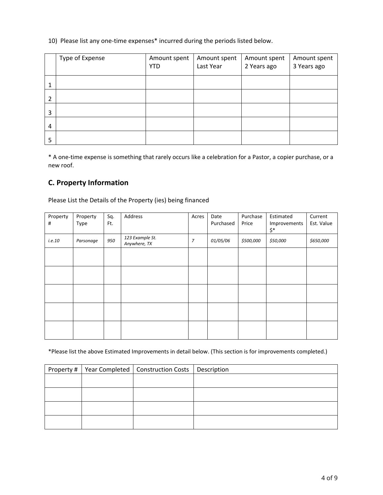#### 10) Please list any one-time expenses\* incurred during the periods listed below.

|                | Type of Expense | Amount spent | Amount spent | Amount spent | Amount spent |
|----------------|-----------------|--------------|--------------|--------------|--------------|
|                |                 | <b>YTD</b>   | Last Year    | 2 Years ago  | 3 Years ago  |
| 1              |                 |              |              |              |              |
|                |                 |              |              |              |              |
| $\overline{2}$ |                 |              |              |              |              |
| 3              |                 |              |              |              |              |
| $\overline{4}$ |                 |              |              |              |              |
| 5              |                 |              |              |              |              |

\* A one-time expense is something that rarely occurs like a celebration for a Pastor, a copier purchase, or a new roof.

## **C. Property Information**

Please List the Details of the Property (ies) being financed

| Property<br># | Property<br>Type | Sq.<br>Ft. | Address                         | Acres          | Date<br>Purchased | Purchase<br>Price | Estimated<br>Improvements<br>$\boldsymbol{\zeta^*}$ | Current<br>Est. Value |
|---------------|------------------|------------|---------------------------------|----------------|-------------------|-------------------|-----------------------------------------------------|-----------------------|
| i.e. 10       | Parsonage        | 950        | 123 Example St.<br>Anywhere, TX | $\overline{7}$ | 01/05/06          | \$500,000         | \$50,000                                            | \$650,000             |
|               |                  |            |                                 |                |                   |                   |                                                     |                       |
|               |                  |            |                                 |                |                   |                   |                                                     |                       |
|               |                  |            |                                 |                |                   |                   |                                                     |                       |
|               |                  |            |                                 |                |                   |                   |                                                     |                       |
|               |                  |            |                                 |                |                   |                   |                                                     |                       |

\*Please list the above Estimated Improvements in detail below. (This section is for improvements completed.)

|  | Property #   Year Completed   Construction Costs   Description |  |
|--|----------------------------------------------------------------|--|
|  |                                                                |  |
|  |                                                                |  |
|  |                                                                |  |
|  |                                                                |  |
|  |                                                                |  |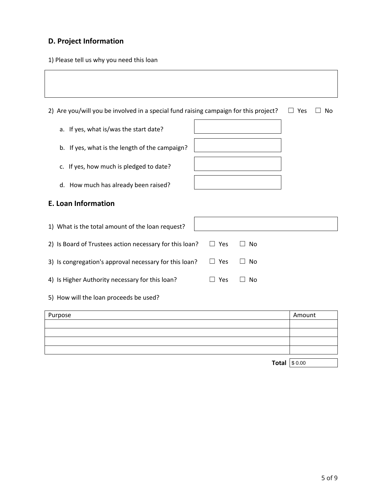# **D. Project Information**

1) Please tell us why you need this loan

| 2) Are you/will you be involved in a special fund raising campaign for this project? | Yes<br>$\Box$         | No             |  |  |
|--------------------------------------------------------------------------------------|-----------------------|----------------|--|--|
| a. If yes, what is/was the start date?                                               |                       |                |  |  |
| b. If yes, what is the length of the campaign?                                       |                       |                |  |  |
| c. If yes, how much is pledged to date?                                              |                       |                |  |  |
| d. How much has already been raised?                                                 |                       |                |  |  |
| <b>E. Loan Information</b>                                                           |                       |                |  |  |
| 1) What is the total amount of the loan request?                                     |                       |                |  |  |
| 2) Is Board of Trustees action necessary for this loan?                              | $\Box$ Yes            | No             |  |  |
| 3) Is congregation's approval necessary for this loan?                               | Yes                   | No             |  |  |
| 4) Is Higher Authority necessary for this loan?                                      | Yes<br>$\blacksquare$ | N <sub>0</sub> |  |  |
| 5) How will the loan proceeds be used?                                               |                       |                |  |  |

| Purpose             | Amount |
|---------------------|--------|
|                     |        |
|                     |        |
|                     |        |
|                     |        |
|                     |        |
| <b>Total</b> \$0.00 |        |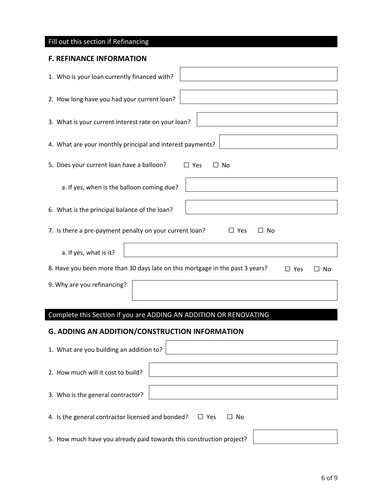| Fill out this section if Refinancing                                                                        |
|-------------------------------------------------------------------------------------------------------------|
| <b>F. REFINANCE INFORMATION</b>                                                                             |
| 1. Who is your loan currently financed with?                                                                |
| 2. How long have you had your current loan?                                                                 |
| 3. What is your current interest rate on your loan?                                                         |
| 4. What are your monthly principal and interest payments?                                                   |
| 5. Does your current loan have a balloon?<br>$\square$ Yes<br>No<br>П                                       |
| a. If yes, when is the balloon coming due?                                                                  |
| 6. What is the principal balance of the loan?                                                               |
| 7. Is there a pre-payment penalty on your current loan?<br>$\Box$ Yes<br>$\Box$ No                          |
| a. If yes, what is it?                                                                                      |
| 8. Have you been more than 30 days late on this mortgage in the past 3 years?<br>$\square$ Yes<br>No<br>l I |
| 9. Why are you refinancing?                                                                                 |
|                                                                                                             |
| Complete this Section if you are ADDING AN ADDITION OR RENOVATING                                           |
| G. ADDING AN ADDITION/CONSTRUCTION INFORMATION                                                              |
| 1. What are you building an addition to?                                                                    |
| 2. How much will it cost to build?                                                                          |
| 3. Who is the general contractor?                                                                           |
| 4. Is the general contractor licensed and bonded?<br>$\Box$ No<br>$\Box$ Yes                                |
| 5. How much have you already paid towards this construction project?                                        |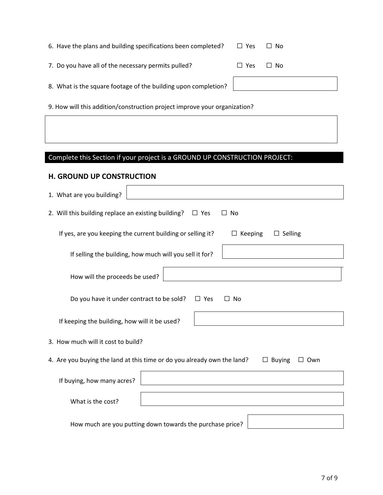| 6. Have the plans and building specifications been completed?  | $\Box$ Yes | $\Box$ No |
|----------------------------------------------------------------|------------|-----------|
| 7. Do you have all of the necessary permits pulled?            | $\Box$ Yes | $\Box$ No |
| 8. What is the square footage of the building upon completion? |            |           |

9. How will this addition/construction project improve your organization?

# Complete this Section if your project is a GROUND UP CONSTRUCTION PROJECT:

## **H. GROUND UP CONSTRUCTION**

| 1. What are you building?                                                                       |
|-------------------------------------------------------------------------------------------------|
| 2. Will this building replace an existing building?<br>$\Box$ Yes<br>□ No                       |
| If yes, are you keeping the current building or selling it?<br>$\Box$ Selling<br>Keeping<br>ш   |
| If selling the building, how much will you sell it for?                                         |
| How will the proceeds be used?                                                                  |
| Do you have it under contract to be sold?<br>$\Box$ Yes<br><b>No</b><br>$\Box$                  |
| If keeping the building, how will it be used?                                                   |
| 3. How much will it cost to build?                                                              |
| 4. Are you buying the land at this time or do you already own the land?<br>$\Box$ Buying<br>Own |
| If buying, how many acres?                                                                      |
| What is the cost?                                                                               |
| How much are you putting down towards the purchase price?                                       |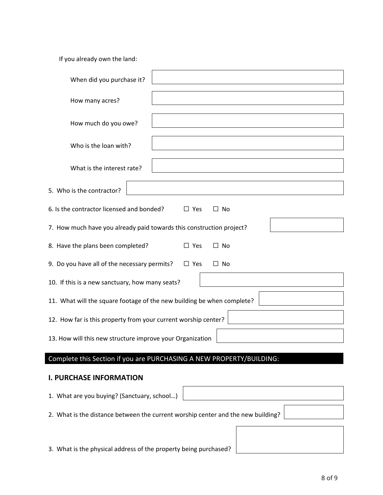If you already own the land:

| When did you purchase it?                                                        |
|----------------------------------------------------------------------------------|
| How many acres?                                                                  |
| How much do you owe?                                                             |
| Who is the loan with?                                                            |
| What is the interest rate?                                                       |
| 5. Who is the contractor?                                                        |
| 6. Is the contractor licensed and bonded?<br>$\Box$ Yes<br>$\Box$ No             |
| 7. How much have you already paid towards this construction project?             |
| 8. Have the plans been completed?<br>$\Box$ Yes<br>$\Box$ No                     |
| 9. Do you have all of the necessary permits?<br>$\Box$ Yes<br>$\Box$ No          |
| 10. If this is a new sanctuary, how many seats?                                  |
| 11. What will the square footage of the new building be when complete?           |
| 12. How far is this property from your current worship center?                   |
| 13. How will this new structure improve your Organization                        |
| Complete this Section if you are PURCHASING A NEW PROPERTY/BUILDING:             |
| <b>I. PURCHASE INFORMATION</b>                                                   |
| 1. What are you buying? (Sanctuary, school)                                      |
| 2. What is the distance between the current worship center and the new building? |
|                                                                                  |
| 3. What is the physical address of the property being purchased?                 |